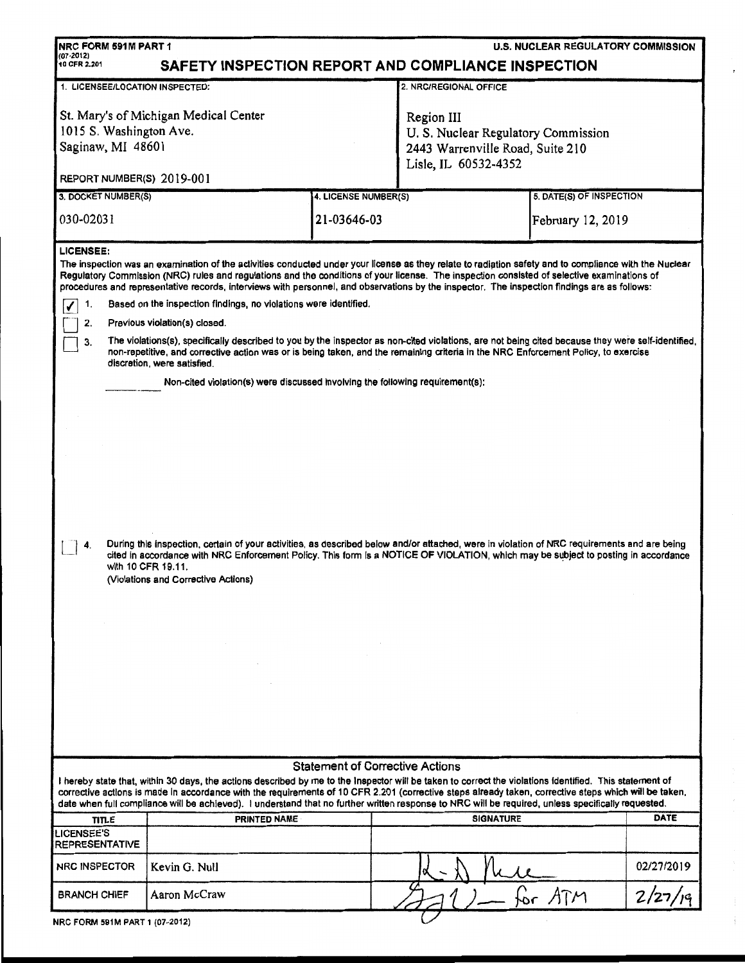| NRC FORM 591M PART 1<br><b>U.S. NUCLEAR REGULATORY COMMISSION</b><br>$(07 - 2012)$<br>SAFETY INSPECTION REPORT AND COMPLIANCE INSPECTION<br>10 CFR 2.201                                                                                                                                                                                                                                                                                                                                                         |                                                                               |                      |                                                                                                               |                          |            |  |  |  |
|------------------------------------------------------------------------------------------------------------------------------------------------------------------------------------------------------------------------------------------------------------------------------------------------------------------------------------------------------------------------------------------------------------------------------------------------------------------------------------------------------------------|-------------------------------------------------------------------------------|----------------------|---------------------------------------------------------------------------------------------------------------|--------------------------|------------|--|--|--|
|                                                                                                                                                                                                                                                                                                                                                                                                                                                                                                                  |                                                                               |                      |                                                                                                               |                          |            |  |  |  |
| 1. LICENSEE/LOCATION INSPECTED:                                                                                                                                                                                                                                                                                                                                                                                                                                                                                  |                                                                               |                      | 2. NRC/REGIONAL OFFICE                                                                                        |                          |            |  |  |  |
| St. Mary's of Michigan Medical Center<br>1015 S. Washington Ave.<br>Saginaw, MI 48601                                                                                                                                                                                                                                                                                                                                                                                                                            |                                                                               |                      | Region III<br>U. S. Nuclear Regulatory Commission<br>2443 Warrenville Road, Suite 210<br>Lisle, IL 60532-4352 |                          |            |  |  |  |
| REPORT NUMBER(S) 2019-001                                                                                                                                                                                                                                                                                                                                                                                                                                                                                        |                                                                               |                      |                                                                                                               |                          |            |  |  |  |
| 3. DOCKET NUMBER(S)                                                                                                                                                                                                                                                                                                                                                                                                                                                                                              |                                                                               | 4. LICENSE NUMBER(S) |                                                                                                               | 5. DATE(S) OF INSPECTION |            |  |  |  |
| 030-02031                                                                                                                                                                                                                                                                                                                                                                                                                                                                                                        |                                                                               | 21-03646-03          |                                                                                                               | February 12, 2019        |            |  |  |  |
| LICENSEE:<br>The inspection was an examination of the activities conducted under your license as they relate to radiation safety and to compliance with the Nuclear<br>Regulatory Commission (NRC) rules and regulations and the conditions of your license. The inspection consisted of selective examinations of<br>procedures and representative records, interviews with personnel, and observations by the inspector. The inspection findings are as follows:                                               |                                                                               |                      |                                                                                                               |                          |            |  |  |  |
| 1.                                                                                                                                                                                                                                                                                                                                                                                                                                                                                                               | Based on the inspection findings, no violations were identified.              |                      |                                                                                                               |                          |            |  |  |  |
| 2.                                                                                                                                                                                                                                                                                                                                                                                                                                                                                                               | Previous violation(s) closed.                                                 |                      |                                                                                                               |                          |            |  |  |  |
| The violations(s), specifically described to you by the inspector as non-cited violations, are not being cited because they were self-identified,<br>3.<br>non-repetitive, and corrective action was or is being taken, and the remaining criteria in the NRC Enforcement Policy, to exercise<br>discretion, were satisfied.                                                                                                                                                                                     |                                                                               |                      |                                                                                                               |                          |            |  |  |  |
|                                                                                                                                                                                                                                                                                                                                                                                                                                                                                                                  | Non-cited violation(s) were discussed involving the following requirement(s); |                      |                                                                                                               |                          |            |  |  |  |
| During this inspection, certain of your activities, as described below and/or attached, were in violation of NRC requirements and are being<br>cited in accordance with NRC Enforcement Policy. This form Is a NOTICE OF VIOLATION, which may be subject to posting in accordance<br>with 10 CFR 19.11.<br>(Violations and Corrective Actions)                                                                                                                                                                   |                                                                               |                      |                                                                                                               |                          |            |  |  |  |
|                                                                                                                                                                                                                                                                                                                                                                                                                                                                                                                  |                                                                               |                      |                                                                                                               |                          |            |  |  |  |
| <b>Statement of Corrective Actions</b><br>I hereby state that, within 30 days, the actions described by me to the Inspector will be taken to correct the violations identified. This statement of<br>corrective actions is made in accordance with the requirements of 10 CFR 2.201 (corrective steps already taken, corrective steps which will be taken,<br>date when full compliance will be achieved). I understand that no further written response to NRC will be required, unless specifically requested. |                                                                               |                      |                                                                                                               |                          |            |  |  |  |
| <b>TITLE</b>                                                                                                                                                                                                                                                                                                                                                                                                                                                                                                     | PRINTED NAME                                                                  |                      | <b>SIGNATURE</b>                                                                                              |                          | DATE       |  |  |  |
| <b>LICENSEE'S</b>                                                                                                                                                                                                                                                                                                                                                                                                                                                                                                |                                                                               |                      |                                                                                                               |                          |            |  |  |  |
| <b>REPRESENTATIVE</b><br><b>NRC INSPECTOR</b>                                                                                                                                                                                                                                                                                                                                                                                                                                                                    | Kevin G. Null                                                                 |                      |                                                                                                               |                          | 02/27/2019 |  |  |  |
| <b>BRANCH CHIEF</b>                                                                                                                                                                                                                                                                                                                                                                                                                                                                                              | Aaron McCraw                                                                  |                      |                                                                                                               | for ATM                  | 2/27       |  |  |  |
| NRC FORM 591M PART 1 (07-2012)                                                                                                                                                                                                                                                                                                                                                                                                                                                                                   |                                                                               |                      |                                                                                                               |                          |            |  |  |  |

 $\bar{t}$ 

 $\frac{1}{2}$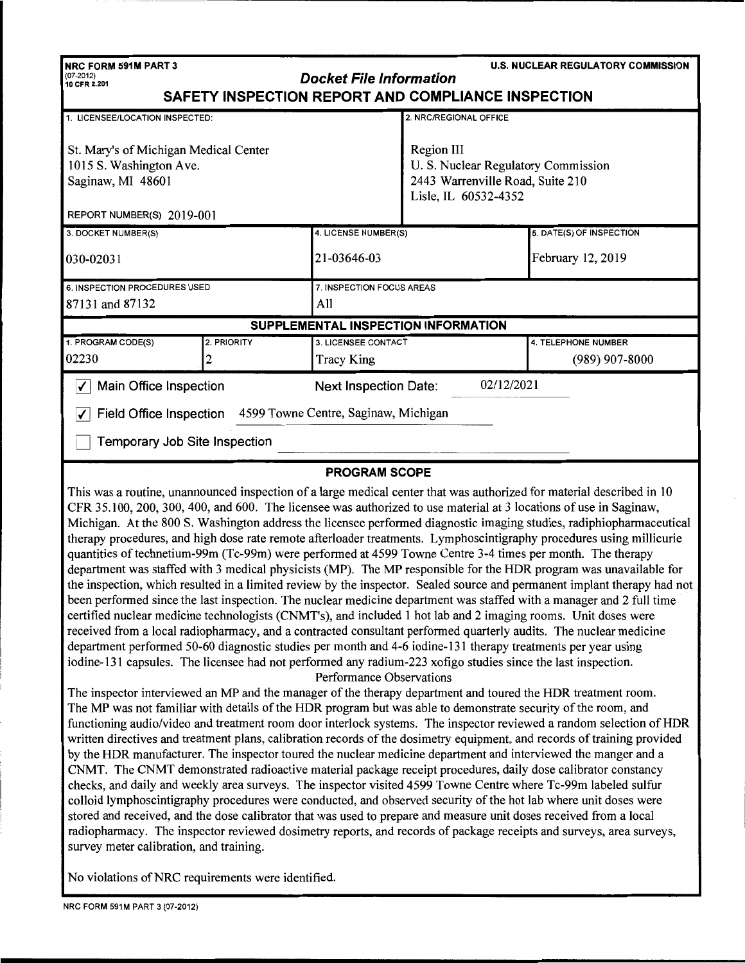| <b>U.S. NUCLEAR REGULATORY COMMISSION</b><br>NRC FORM 591M PART 3<br>$(07 - 2012)$<br><b>Docket File Information</b><br>10 CFR 2.201<br>SAFETY INSPECTION REPORT AND COMPLIANCE INSPECTION |                                                              |                                            |                                                                                                               |                          |  |  |  |
|--------------------------------------------------------------------------------------------------------------------------------------------------------------------------------------------|--------------------------------------------------------------|--------------------------------------------|---------------------------------------------------------------------------------------------------------------|--------------------------|--|--|--|
| 1. LICENSEE/LOCATION INSPECTED:                                                                                                                                                            |                                                              |                                            | 2. NRC/REGIONAL OFFICE                                                                                        |                          |  |  |  |
| St. Mary's of Michigan Medical Center<br>1015 S. Washington Ave.<br>Saginaw, MI 48601<br>REPORT NUMBER(S) 2019-001                                                                         |                                                              |                                            | Region III<br>U. S. Nuclear Regulatory Commission<br>2443 Warrenville Road, Suite 210<br>Lisle, IL 60532-4352 |                          |  |  |  |
| 3. DOCKET NUMBER(S)                                                                                                                                                                        |                                                              | 4. LICENSE NUMBER(S)                       |                                                                                                               | 5. DATE(S) OF INSPECTION |  |  |  |
| 030-02031                                                                                                                                                                                  |                                                              | 21-03646-03                                |                                                                                                               | February 12, 2019        |  |  |  |
| 6. INSPECTION PROCEDURES USED                                                                                                                                                              |                                                              | 7. INSPECTION FOCUS AREAS                  |                                                                                                               |                          |  |  |  |
| 87131 and 87132                                                                                                                                                                            |                                                              | All                                        |                                                                                                               |                          |  |  |  |
|                                                                                                                                                                                            |                                                              |                                            | SUPPLEMENTAL INSPECTION INFORMATION                                                                           |                          |  |  |  |
| 1. PROGRAM CODE(S)                                                                                                                                                                         | 2. PRIORITY                                                  | 3. LICENSEE CONTACT                        |                                                                                                               | 4. TELEPHONE NUMBER      |  |  |  |
| 02230                                                                                                                                                                                      |                                                              | <b>Tracy King</b>                          |                                                                                                               | $(989)$ 907-8000         |  |  |  |
| Main Office Inspection<br>$\blacktriangledown$                                                                                                                                             |                                                              | 02/12/2021<br><b>Next Inspection Date:</b> |                                                                                                               |                          |  |  |  |
| ✓                                                                                                                                                                                          | Field Office Inspection 4599 Towne Centre, Saginaw, Michigan |                                            |                                                                                                               |                          |  |  |  |
| Temporary Job Site Inspection                                                                                                                                                              |                                                              |                                            |                                                                                                               |                          |  |  |  |
| <b>PROGRAM SCOPE</b>                                                                                                                                                                       |                                                              |                                            |                                                                                                               |                          |  |  |  |

This was a routine, unannounced inspection of a large medical center that was authorized for material described in 10 CFR 35.100, 200,300,400, and 600. The licensee was authorized to use material at 3 locations of use in Saginaw, Michigan. At the 800 S. Washington address the licensee performed diagnostic imaging studies, radiphiopharmaceutical therapy procedures, and high dose rate remote afterloader treatments. Lymphoscintigraphy procedures using millicurie quantities oftechnetium-99m (Tc-99m) were performed at 4599 Towne Centre 3-4 times per month. The therapy department was staffed with 3 medical physicists (MP). The MP responsible for the HOR program was unavailable for the inspection, which resulted in a limited review by the inspector. Sealed source and permanent implant therapy had not been performed since the last inspection. The nuclear medicine department was staffed with a manager and 2 full time certified nuclear medicine technologists (CNMT's), and included 1 hot lab and 2 imaging rooms. Unit doses were received from a local radiopharmacy, and a contracted consultant performed quarterly audits. The nuclear medicine department performed 50-60 diagnostic studies per month and 4-6 iodine-131 therapy treatments per year using iodine-131 capsules. The licensee had not performed any radium-223 xofigo studies since the last inspection.

## Performance Observations

The inspector interviewed an MP and the manager of the therapy department and toured the HOR treatment room. The MP was not familiar with details of the HOR program but was able to demonstrate security of the room, and functioning audio/video and treatment room door interlock systems. The inspector reviewed a random selection of HOR written directives and treatment plans, calibration records of the dosimetry equipment, and records of training provided by the HOR manufacturer. The inspector toured the nuclear medicine department and interviewed the manger and a CNMT. The CNMT demonstrated radioactive material package receipt procedures, daily dose calibrator constancy checks, and daily and weekly area surveys. The inspector visited 4599 Towne Centre where Tc-99m labeled sulfur colloid lymphoscintigraphy procedures were conducted, and observed security of the hot lab where unit doses were stored and received, and the dose calibrator that was used to prepare and measure unit doses received from a local radiopharmacy. The inspector reviewed dosimetry reports, and records of package receipts and surveys, area surveys, survey meter calibration, and training.

No violations of NRC requirements were identified.